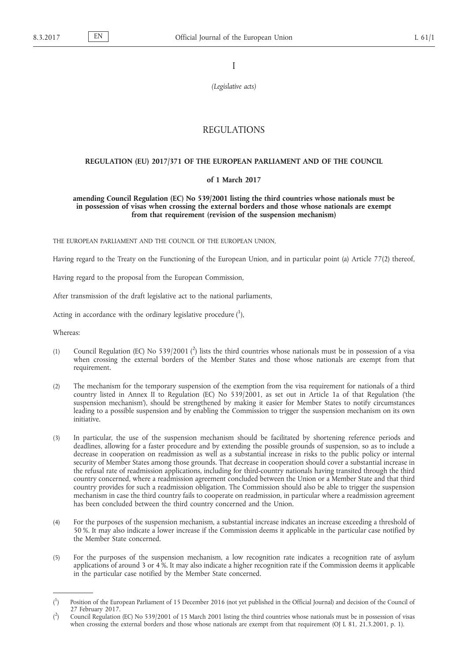I

*(Legislative acts)*

# REGULATIONS

# **REGULATION (EU) 2017/371 OF THE EUROPEAN PARLIAMENT AND OF THE COUNCIL**

#### **of 1 March 2017**

### **amending Council Regulation (EC) No 539/2001 listing the third countries whose nationals must be in possession of visas when crossing the external borders and those whose nationals are exempt from that requirement (revision of the suspension mechanism)**

THE EUROPEAN PARLIAMENT AND THE COUNCIL OF THE EUROPEAN UNION,

Having regard to the Treaty on the Functioning of the European Union, and in particular point (a) Article 77(2) thereof,

Having regard to the proposal from the European Commission,

After transmission of the draft legislative act to the national parliaments,

Acting in accordance with the ordinary legislative procedure  $(^1)$ ,

Whereas:

- (1) Council Regulation (EC) No 539/2001 ( $^2$ ) lists the third countries whose nationals must be in possession of a visa when crossing the external borders of the Member States and those whose nationals are exempt from that requirement.
- (2) The mechanism for the temporary suspension of the exemption from the visa requirement for nationals of a third country listed in Annex II to Regulation (EC) No 539/2001, as set out in Article 1a of that Regulation ('the suspension mechanism'), should be strengthened by making it easier for Member States to notify circumstances leading to a possible suspension and by enabling the Commission to trigger the suspension mechanism on its own initiative.
- (3) In particular, the use of the suspension mechanism should be facilitated by shortening reference periods and deadlines, allowing for a faster procedure and by extending the possible grounds of suspension, so as to include a decrease in cooperation on readmission as well as a substantial increase in risks to the public policy or internal security of Member States among those grounds. That decrease in cooperation should cover a substantial increase in the refusal rate of readmission applications, including for third-country nationals having transited through the third country concerned, where a readmission agreement concluded between the Union or a Member State and that third country provides for such a readmission obligation. The Commission should also be able to trigger the suspension mechanism in case the third country fails to cooperate on readmission, in particular where a readmission agreement has been concluded between the third country concerned and the Union.
- (4) For the purposes of the suspension mechanism, a substantial increase indicates an increase exceeding a threshold of 50 %. It may also indicate a lower increase if the Commission deems it applicable in the particular case notified by the Member State concerned.
- (5) For the purposes of the suspension mechanism, a low recognition rate indicates a recognition rate of asylum applications of around 3 or 4 %. It may also indicate a higher recognition rate if the Commission deems it applicable in the particular case notified by the Member State concerned.

 $($ <sup>1</sup> ) Position of the European Parliament of 15 December 2016 (not yet published in the Official Journal) and decision of the Council of 27 February 2017.

 $($ <sup>2</sup> ) Council Regulation (EC) No 539/2001 of 15 March 2001 listing the third countries whose nationals must be in possession of visas when crossing the external borders and those whose nationals are exempt from that requirement (OJ L 81, 21.3.2001, p. 1).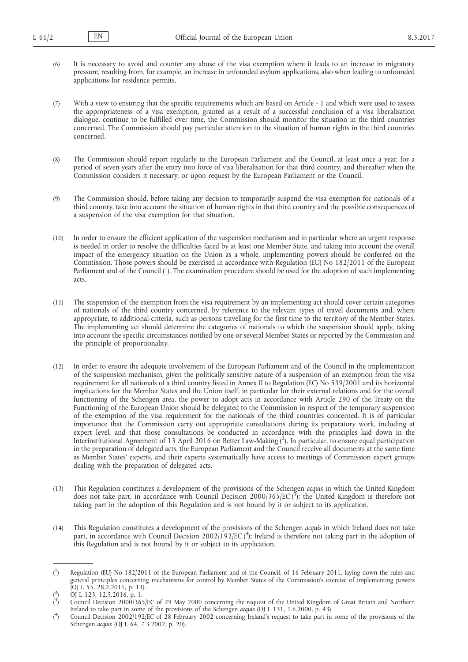- (6) It is necessary to avoid and counter any abuse of the visa exemption where it leads to an increase in migratory pressure, resulting from, for example, an increase in unfounded asylum applications, also when leading to unfounded applications for residence permits.
- (7) With a view to ensuring that the specific requirements which are based on Article 1 and which were used to assess the appropriateness of a visa exemption, granted as a result of a successful conclusion of a visa liberalisation dialogue, continue to be fulfilled over time, the Commission should monitor the situation in the third countries concerned. The Commission should pay particular attention to the situation of human rights in the third countries concerned.
- (8) The Commission should report regularly to the European Parliament and the Council, at least once a year, for a period of seven years after the entry into force of visa liberalisation for that third country, and thereafter when the Commission considers it necessary, or upon request by the European Parliament or the Council.
- (9) The Commission should, before taking any decision to temporarily suspend the visa exemption for nationals of a third country, take into account the situation of human rights in that third country and the possible consequences of a suspension of the visa exemption for that situation.
- (10) In order to ensure the efficient application of the suspension mechanism and in particular where an urgent response is needed in order to resolve the difficulties faced by at least one Member State, and taking into account the overall impact of the emergency situation on the Union as a whole, implementing powers should be conferred on the Commission. Those powers should be exercised in accordance with Regulation (EU) No 182/2011 of the European Parliament and of the Council ( $^1$ ). The examination procedure should be used for the adoption of such implementing acts.
- (11) The suspension of the exemption from the visa requirement by an implementing act should cover certain categories of nationals of the third country concerned, by reference to the relevant types of travel documents and, where appropriate, to additional criteria, such as persons travelling for the first time to the territory of the Member States. The implementing act should determine the categories of nationals to which the suspension should apply, taking into account the specific circumstances notified by one or several Member States or reported by the Commission and the principle of proportionality.
- (12) In order to ensure the adequate involvement of the European Parliament and of the Council in the implementation of the suspension mechanism, given the politically sensitive nature of a suspension of an exemption from the visa requirement for all nationals of a third country listed in Annex II to Regulation (EC) No 539/2001 and its horizontal implications for the Member States and the Union itself, in particular for their external relations and for the overall functioning of the Schengen area, the power to adopt acts in accordance with Article 290 of the Treaty on the Functioning of the European Union should be delegated to the Commission in respect of the temporary suspension of the exemption of the visa requirement for the nationals of the third countries concerned. It is of particular importance that the Commission carry out appropriate consultations during its preparatory work, including at expert level, and that those consultations be conducted in accordance with the principles laid down in the Interinstitutional Agreement of 13 April 2016 on Better Law-Making ( 2 ). In particular, to ensure equal participation in the preparation of delegated acts, the European Parliament and the Council receive all documents at the same time as Member States' experts, and their experts systematically have access to meetings of Commission expert groups dealing with the preparation of delegated acts.
- (13) This Regulation constitutes a development of the provisions of the Schengen *acquis* in which the United Kingdom does not take part, in accordance with Council Decision 2000/365/EC (3); the United Kingdom is therefore not taking part in the adoption of this Regulation and is not bound by it or subject to its application.
- (14) This Regulation constitutes a development of the provisions of the Schengen *acquis* in which Ireland does not take part, in accordance with Council Decision 2002/192/EC (<sup>4</sup>); Ireland is therefore not taking part in the adoption of this Regulation and is not bound by it or subject to its application.

 $($ <sup>1</sup> ) Regulation (EU) No 182/2011 of the European Parliament and of the Council, of 16 February 2011, laying down the rules and general principles concerning mechanisms for control by Member States of the Commission's exercise of implementing powers (OJ L 55, 28.2.2011, p. 13).

<sup>(</sup> 2 ) OJ L 123, 12.5.2016, p. 1.

 $\zeta^3$ ) Council Decision 2000/365/EC of 29 May 2000 concerning the request of the United Kingdom of Great Britain and Northern Ireland to take part in some of the provisions of the Schengen *acquis* (OJ L 131, 1.6.2000, p. 43).

 $($ <sup>4</sup> ) Council Decision 2002/192/EC of 28 February 2002 concerning Ireland's request to take part in some of the provisions of the Schengen *acquis* (OJ L 64, 7.3.2002, p. 20).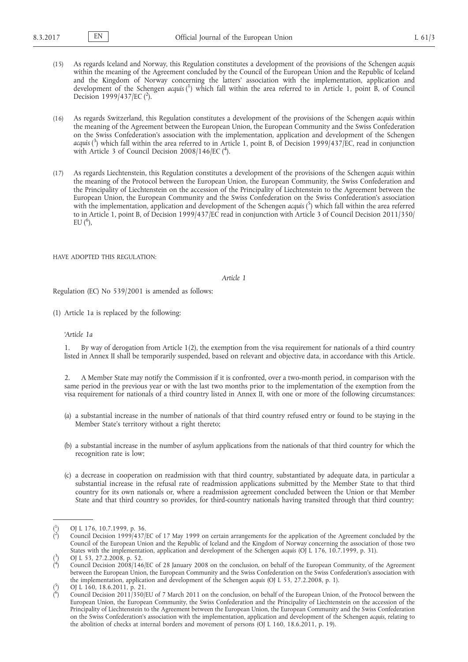- (15) As regards Iceland and Norway, this Regulation constitutes a development of the provisions of the Schengen *acquis*  within the meaning of the Agreement concluded by the Council of the European Union and the Republic of Iceland and the Kingdom of Norway concerning the latters' association with the implementation, application and development of the Schengen *acquis* ( 1 ) which fall within the area referred to in Article 1, point B, of Council Decision 1999/437/EC  $(^2)$ .
- (16) As regards Switzerland, this Regulation constitutes a development of the provisions of the Schengen *acquis* within the meaning of the Agreement between the European Union, the European Community and the Swiss Confederation on the Swiss Confederation's association with the implementation, application and development of the Schengen *acquis* ( 3 ) which fall within the area referred to in Article 1, point B, of Decision 1999/437/EC, read in conjunction with Article 3 of Council Decision 2008/146/EC (4).
- (17) As regards Liechtenstein, this Regulation constitutes a development of the provisions of the Schengen *acquis* within the meaning of the Protocol between the European Union, the European Community, the Swiss Confederation and the Principality of Liechtenstein on the accession of the Principality of Liechtenstein to the Agreement between the European Union, the European Community and the Swiss Confederation on the Swiss Confederation's association with the implementation, application and development of the Schengen *acquis* ( 5 ) which fall within the area referred to in Article 1, point B, of Decision 1999/437/EC read in conjunction with Article 3 of Council Decision 2011/350/ EU  $(6)$ ,

HAVE ADOPTED THIS REGULATION:

*Article 1*

Regulation (EC) No 539/2001 is amended as follows:

(1) Article 1a is replaced by the following:

#### *'Article 1a*

1. By way of derogation from Article 1(2), the exemption from the visa requirement for nationals of a third country listed in Annex II shall be temporarily suspended, based on relevant and objective data, in accordance with this Article.

2. A Member State may notify the Commission if it is confronted, over a two-month period, in comparison with the same period in the previous year or with the last two months prior to the implementation of the exemption from the visa requirement for nationals of a third country listed in Annex II, with one or more of the following circumstances:

- (a) a substantial increase in the number of nationals of that third country refused entry or found to be staying in the Member State's territory without a right thereto;
- (b) a substantial increase in the number of asylum applications from the nationals of that third country for which the recognition rate is low;
- (c) a decrease in cooperation on readmission with that third country, substantiated by adequate data, in particular a substantial increase in the refusal rate of readmission applications submitted by the Member State to that third country for its own nationals or, where a readmission agreement concluded between the Union or that Member State and that third country so provides, for third-country nationals having transited through that third country;

<sup>(</sup> 1 ) OJ L 176, 10.7.1999, p. 36.

<sup>(</sup> 2 ) Council Decision 1999/437/EC of 17 May 1999 on certain arrangements for the application of the Agreement concluded by the Council of the European Union and the Republic of Iceland and the Kingdom of Norway concerning the association of those two States with the implementation, application and development of the Schengen *acquis* (OJ L 176, 10.7.1999, p. 31). 3

<sup>(</sup> ) OJ L 53, 27.2.2008, p. 52.

<sup>(</sup> 4 ) Council Decision 2008/146/EC of 28 January 2008 on the conclusion, on behalf of the European Community, of the Agreement between the European Union, the European Community and the Swiss Confederation on the Swiss Confederation's association with the implementation, application and development of the Schengen *acquis* (OJ L 53, 27.2.2008, p. 1). 5

<sup>(</sup> ) OJ L 160, 18.6.2011, p. 21.

<sup>(</sup> 6 ) Council Decision 2011/350/EU of 7 March 2011 on the conclusion, on behalf of the European Union, of the Protocol between the European Union, the European Community, the Swiss Confederation and the Principality of Liechtenstein on the accession of the Principality of Liechtenstein to the Agreement between the European Union, the European Community and the Swiss Confederation on the Swiss Confederation's association with the implementation, application and development of the Schengen *acquis*, relating to the abolition of checks at internal borders and movement of persons (OJ L 160, 18.6.2011, p. 19).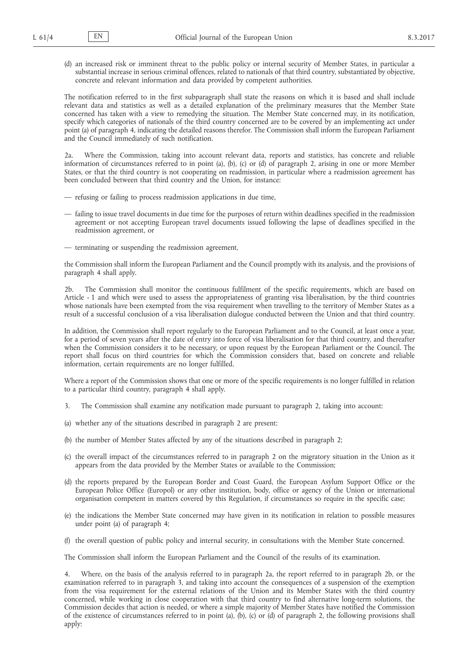(d) an increased risk or imminent threat to the public policy or internal security of Member States, in particular a substantial increase in serious criminal offences, related to nationals of that third country, substantiated by objective, concrete and relevant information and data provided by competent authorities.

The notification referred to in the first subparagraph shall state the reasons on which it is based and shall include relevant data and statistics as well as a detailed explanation of the preliminary measures that the Member State concerned has taken with a view to remedying the situation. The Member State concerned may, in its notification, specify which categories of nationals of the third country concerned are to be covered by an implementing act under point (a) of paragraph 4, indicating the detailed reasons therefor. The Commission shall inform the European Parliament and the Council immediately of such notification.

2a. Where the Commission, taking into account relevant data, reports and statistics, has concrete and reliable information of circumstances referred to in point (a), (b), (c) or (d) of paragraph 2, arising in one or more Member States, or that the third country is not cooperating on readmission, in particular where a readmission agreement has been concluded between that third country and the Union, for instance:

- refusing or failing to process readmission applications in due time,
- failing to issue travel documents in due time for the purposes of return within deadlines specified in the readmission agreement or not accepting European travel documents issued following the lapse of deadlines specified in the readmission agreement, or
- terminating or suspending the readmission agreement,

the Commission shall inform the European Parliament and the Council promptly with its analysis, and the provisions of paragraph 4 shall apply.

2b. The Commission shall monitor the continuous fulfilment of the specific requirements, which are based on Article - 1 and which were used to assess the appropriateness of granting visa liberalisation, by the third countries whose nationals have been exempted from the visa requirement when travelling to the territory of Member States as a result of a successful conclusion of a visa liberalisation dialogue conducted between the Union and that third country.

In addition, the Commission shall report regularly to the European Parliament and to the Council, at least once a year, for a period of seven years after the date of entry into force of visa liberalisation for that third country, and thereafter when the Commission considers it to be necessary, or upon request by the European Parliament or the Council. The report shall focus on third countries for which the Commission considers that, based on concrete and reliable information, certain requirements are no longer fulfilled.

Where a report of the Commission shows that one or more of the specific requirements is no longer fulfilled in relation to a particular third country, paragraph 4 shall apply.

- 3. The Commission shall examine any notification made pursuant to paragraph 2, taking into account:
- (a) whether any of the situations described in paragraph 2 are present;
- (b) the number of Member States affected by any of the situations described in paragraph 2;
- (c) the overall impact of the circumstances referred to in paragraph 2 on the migratory situation in the Union as it appears from the data provided by the Member States or available to the Commission;
- (d) the reports prepared by the European Border and Coast Guard, the European Asylum Support Office or the European Police Office (Europol) or any other institution, body, office or agency of the Union or international organisation competent in matters covered by this Regulation, if circumstances so require in the specific case;
- (e) the indications the Member State concerned may have given in its notification in relation to possible measures under point (a) of paragraph 4;
- (f) the overall question of public policy and internal security, in consultations with the Member State concerned.

The Commission shall inform the European Parliament and the Council of the results of its examination.

4. Where, on the basis of the analysis referred to in paragraph 2a, the report referred to in paragraph 2b, or the examination referred to in paragraph 3, and taking into account the consequences of a suspension of the exemption from the visa requirement for the external relations of the Union and its Member States with the third country concerned, while working in close cooperation with that third country to find alternative long-term solutions, the Commission decides that action is needed, or where a simple majority of Member States have notified the Commission of the existence of circumstances referred to in point (a), (b), (c) or (d) of paragraph 2, the following provisions shall apply: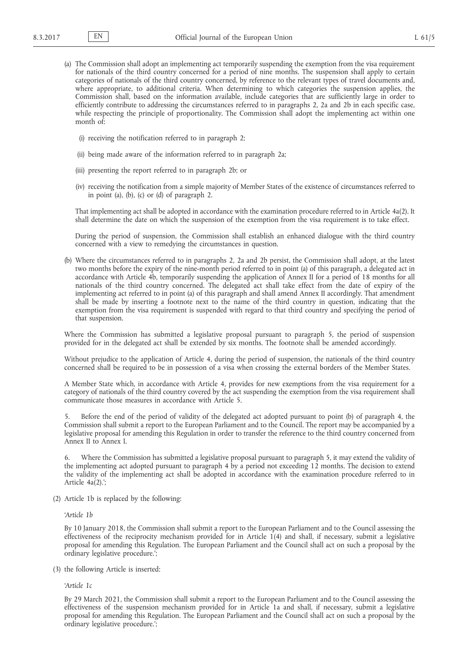- (a) The Commission shall adopt an implementing act temporarily suspending the exemption from the visa requirement for nationals of the third country concerned for a period of nine months. The suspension shall apply to certain categories of nationals of the third country concerned, by reference to the relevant types of travel documents and, where appropriate, to additional criteria. When determining to which categories the suspension applies, the Commission shall, based on the information available, include categories that are sufficiently large in order to efficiently contribute to addressing the circumstances referred to in paragraphs 2, 2a and 2b in each specific case, while respecting the principle of proportionality. The Commission shall adopt the implementing act within one month of:
	- (i) receiving the notification referred to in paragraph 2;
	- (ii) being made aware of the information referred to in paragraph 2a;
	- (iii) presenting the report referred to in paragraph 2b; or
	- (iv) receiving the notification from a simple majority of Member States of the existence of circumstances referred to in point (a), (b), (c) or (d) of paragraph 2.

That implementing act shall be adopted in accordance with the examination procedure referred to in Article 4a(2). It shall determine the date on which the suspension of the exemption from the visa requirement is to take effect.

During the period of suspension, the Commission shall establish an enhanced dialogue with the third country concerned with a view to remedying the circumstances in question.

(b) Where the circumstances referred to in paragraphs 2, 2a and 2b persist, the Commission shall adopt, at the latest two months before the expiry of the nine-month period referred to in point (a) of this paragraph, a delegated act in accordance with Article 4b, temporarily suspending the application of Annex II for a period of 18 months for all nationals of the third country concerned. The delegated act shall take effect from the date of expiry of the implementing act referred to in point (a) of this paragraph and shall amend Annex II accordingly. That amendment shall be made by inserting a footnote next to the name of the third country in question, indicating that the exemption from the visa requirement is suspended with regard to that third country and specifying the period of that suspension.

Where the Commission has submitted a legislative proposal pursuant to paragraph 5, the period of suspension provided for in the delegated act shall be extended by six months. The footnote shall be amended accordingly.

Without prejudice to the application of Article 4, during the period of suspension, the nationals of the third country concerned shall be required to be in possession of a visa when crossing the external borders of the Member States.

A Member State which, in accordance with Article 4, provides for new exemptions from the visa requirement for a category of nationals of the third country covered by the act suspending the exemption from the visa requirement shall communicate those measures in accordance with Article 5.

5. Before the end of the period of validity of the delegated act adopted pursuant to point (b) of paragraph 4, the Commission shall submit a report to the European Parliament and to the Council. The report may be accompanied by a legislative proposal for amending this Regulation in order to transfer the reference to the third country concerned from Annex II to Annex I.

6. Where the Commission has submitted a legislative proposal pursuant to paragraph 5, it may extend the validity of the implementing act adopted pursuant to paragraph 4 by a period not exceeding 12 months. The decision to extend the validity of the implementing act shall be adopted in accordance with the examination procedure referred to in Article 4a(2).';

(2) Article 1b is replaced by the following:

*'Article 1b*

By 10 January 2018, the Commission shall submit a report to the European Parliament and to the Council assessing the effectiveness of the reciprocity mechanism provided for in Article  $1(4)$  and shall, if necessary, submit a legislative proposal for amending this Regulation. The European Parliament and the Council shall act on such a proposal by the ordinary legislative procedure.';

(3) the following Article is inserted:

*'Article 1c*

By 29 March 2021, the Commission shall submit a report to the European Parliament and to the Council assessing the effectiveness of the suspension mechanism provided for in Article 1a and shall, if necessary, submit a legislative proposal for amending this Regulation. The European Parliament and the Council shall act on such a proposal by the ordinary legislative procedure.';